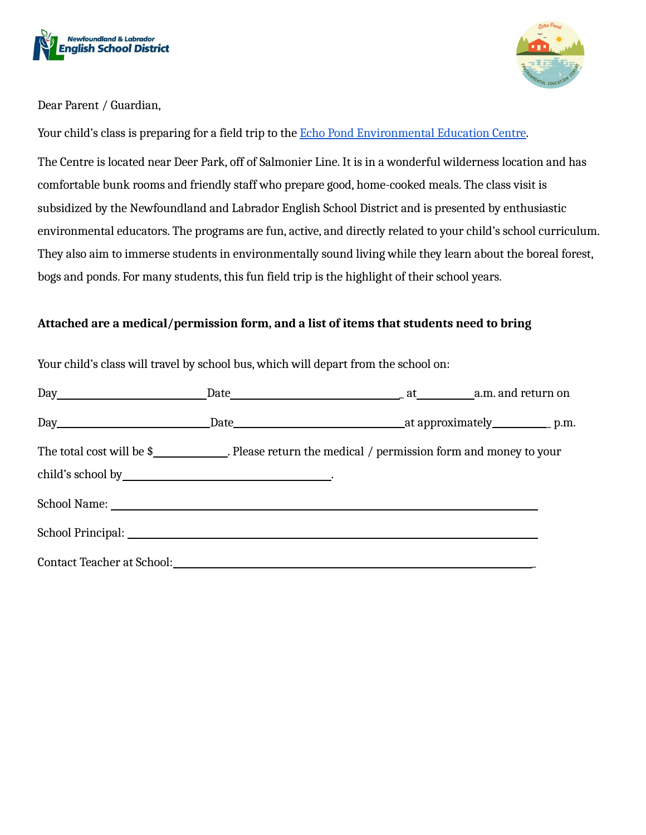



Dear Parent / Guardian,

Your child's class is preparing for a field trip to the Echo Pond [Environmental](https://echopond.ca/) Education Centre.

The Centre is located near Deer Park, off of Salmonier Line. It is in a wonderful wilderness location and has comfortable bunk rooms and friendly staff who prepare good, home-cooked meals. The class visit is subsidized by the Newfoundland and Labrador English School District and is presented by enthusiastic environmental educators. The programs are fun, active, and directly related to your child's school curriculum. They also aim to immerse students in environmentally sound living while they learn about the boreal forest, bogs and ponds. For many students, this fun field trip is the highlight of their school years.

#### **Attached are a medical/permission form, and a list of items that students need to bring**

| The total cost will be \$______________. Please return the medical / permission form and money to your |  |  |
|--------------------------------------------------------------------------------------------------------|--|--|
|                                                                                                        |  |  |
|                                                                                                        |  |  |
|                                                                                                        |  |  |

Your child's class will travel by school bus, which will depart from the school on: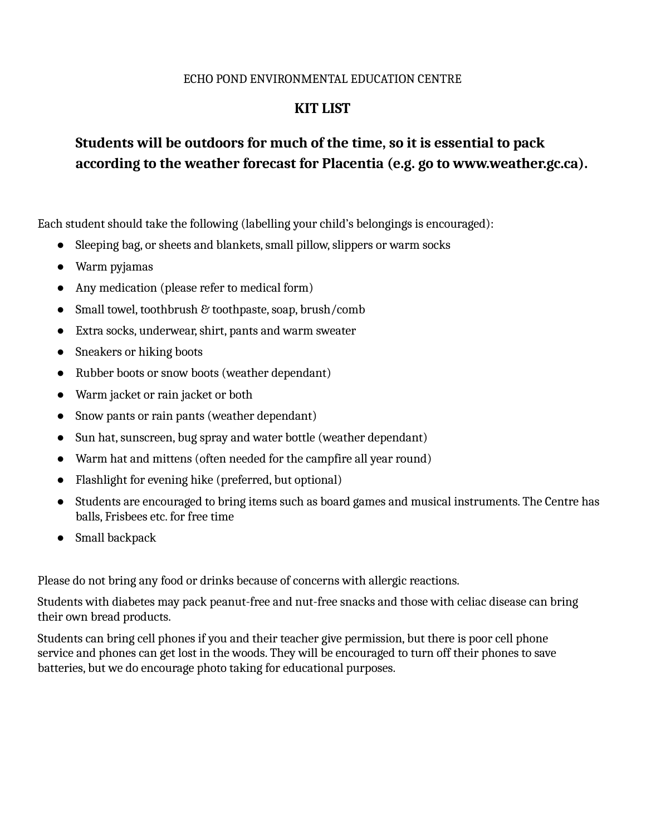#### ECHO POND ENVIRONMENTAL EDUCATION CENTRE

### **KIT LIST**

# **Students will be outdoors for much of the time, so it is essential to pack according to the weather forecast for Placentia (e.g. go to www.weather.gc.ca).**

Each student should take the following (labelling your child's belongings is encouraged):

- Sleeping bag, or sheets and blankets, small pillow, slippers or warm socks
- Warm pyjamas
- Any medication (please refer to medical form)
- Small towel, toothbrush & toothpaste, soap, brush/comb
- Extra socks, underwear,shirt, pants and warm sweater
- Sneakers or hiking boots
- Rubber boots or snow boots (weather dependant)
- Warm jacket or rain jacket or both
- Snow pants or rain pants (weather dependant)
- Sun hat, sunscreen, bug spray and water bottle (weather dependant)
- Warm hat and mittens (often needed for the campfire all year round)
- Flashlight for evening hike (preferred, but optional)
- Students are encouraged to bring items such as board games and musical instruments. The Centre has balls, Frisbees etc. for free time
- Small backpack

Please do not bring any food or drinks because of concerns with allergic reactions.

Students with diabetes may pack peanut-free and nut-free snacks and those with celiac disease can bring their own bread products.

Students can bring cell phones if you and their teacher give permission, but there is poor cell phone service and phones can get lost in the woods. They will be encouraged to turn off their phones to save batteries, but we do encourage photo taking for educational purposes.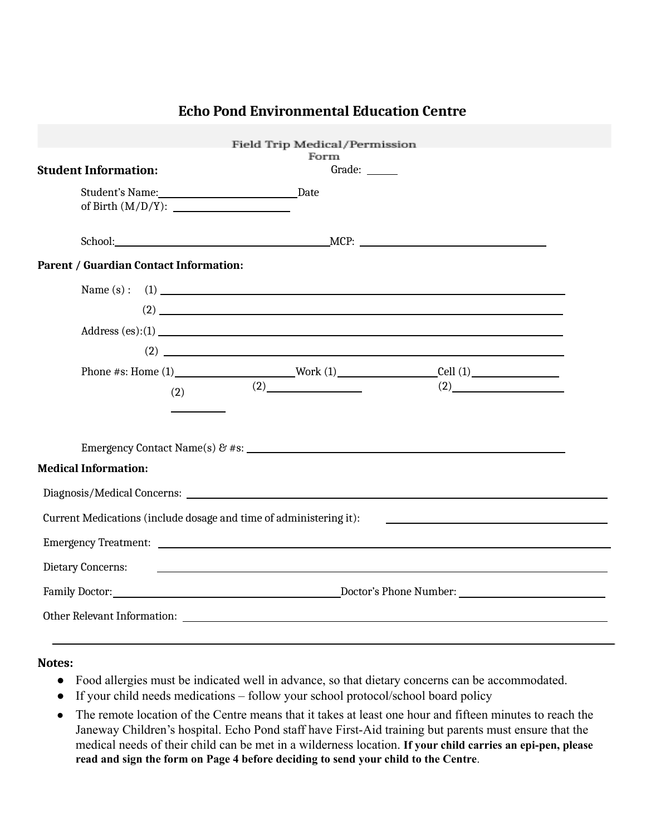|                                                                    |     | Field Trip Medical/Permission                                       |        |                                                                                                                                                                                                                                                                                                                                                                                      |  |
|--------------------------------------------------------------------|-----|---------------------------------------------------------------------|--------|--------------------------------------------------------------------------------------------------------------------------------------------------------------------------------------------------------------------------------------------------------------------------------------------------------------------------------------------------------------------------------------|--|
|                                                                    |     |                                                                     | Form   |                                                                                                                                                                                                                                                                                                                                                                                      |  |
| <b>Student Information:</b>                                        |     |                                                                     | Grade: |                                                                                                                                                                                                                                                                                                                                                                                      |  |
|                                                                    |     |                                                                     |        |                                                                                                                                                                                                                                                                                                                                                                                      |  |
| of Birth $(M/D/Y)$ :                                               |     |                                                                     |        |                                                                                                                                                                                                                                                                                                                                                                                      |  |
|                                                                    |     |                                                                     |        |                                                                                                                                                                                                                                                                                                                                                                                      |  |
|                                                                    |     |                                                                     |        |                                                                                                                                                                                                                                                                                                                                                                                      |  |
| <b>Parent / Guardian Contact Information:</b>                      |     |                                                                     |        |                                                                                                                                                                                                                                                                                                                                                                                      |  |
|                                                                    |     |                                                                     |        |                                                                                                                                                                                                                                                                                                                                                                                      |  |
|                                                                    |     |                                                                     |        | $(2)$ $\overline{\phantom{a}}$                                                                                                                                                                                                                                                                                                                                                       |  |
|                                                                    |     |                                                                     |        | Address (es):(1)                                                                                                                                                                                                                                                                                                                                                                     |  |
|                                                                    |     |                                                                     |        | $\overline{2}$ $\overline{2}$ $\overline{2}$ $\overline{2}$ $\overline{2}$ $\overline{2}$ $\overline{2}$ $\overline{2}$ $\overline{2}$ $\overline{2}$ $\overline{2}$ $\overline{2}$ $\overline{2}$ $\overline{2}$ $\overline{2}$ $\overline{2}$ $\overline{2}$ $\overline{2}$ $\overline{2}$ $\overline{2}$ $\overline{2}$ $\overline{2}$ $\overline{2}$ $\overline{2}$ $\overline{$ |  |
|                                                                    |     |                                                                     |        | Phone #s: Home $(1)$ Work $(1)$ Cell $(1)$                                                                                                                                                                                                                                                                                                                                           |  |
|                                                                    |     | (2)                                                                 |        | (2)                                                                                                                                                                                                                                                                                                                                                                                  |  |
|                                                                    | (2) |                                                                     |        |                                                                                                                                                                                                                                                                                                                                                                                      |  |
|                                                                    |     |                                                                     |        |                                                                                                                                                                                                                                                                                                                                                                                      |  |
|                                                                    |     |                                                                     |        |                                                                                                                                                                                                                                                                                                                                                                                      |  |
|                                                                    |     |                                                                     |        |                                                                                                                                                                                                                                                                                                                                                                                      |  |
| <b>Medical Information:</b>                                        |     |                                                                     |        |                                                                                                                                                                                                                                                                                                                                                                                      |  |
|                                                                    |     |                                                                     |        |                                                                                                                                                                                                                                                                                                                                                                                      |  |
| Current Medications (include dosage and time of administering it): |     |                                                                     |        | <u> 1989 - Johann Stoff, amerikansk politiker (</u>                                                                                                                                                                                                                                                                                                                                  |  |
|                                                                    |     |                                                                     |        |                                                                                                                                                                                                                                                                                                                                                                                      |  |
|                                                                    |     |                                                                     |        |                                                                                                                                                                                                                                                                                                                                                                                      |  |
| Dietary Concerns:                                                  |     | <u> 1980 - Andrea Stadt Britain, amerikansk politiker (d. 1980)</u> |        |                                                                                                                                                                                                                                                                                                                                                                                      |  |
|                                                                    |     |                                                                     |        |                                                                                                                                                                                                                                                                                                                                                                                      |  |
|                                                                    |     |                                                                     |        |                                                                                                                                                                                                                                                                                                                                                                                      |  |
|                                                                    |     |                                                                     |        |                                                                                                                                                                                                                                                                                                                                                                                      |  |

## **Echo Pond Environmental Education Centre**

#### **Notes:**

- Food allergies must be indicated well in advance, so that dietary concerns can be accommodated.
- If your child needs medications follow your school protocol/school board policy
- The remote location of the Centre means that it takes at least one hour and fifteen minutes to reach the Janeway Children's hospital. Echo Pond staff have First-Aid training but parents must ensure that the medical needs of their child can be met in a wilderness location. **If your child carries an epi-pen, please read and sign the form on Page 4 before deciding to send your child to the Centre**.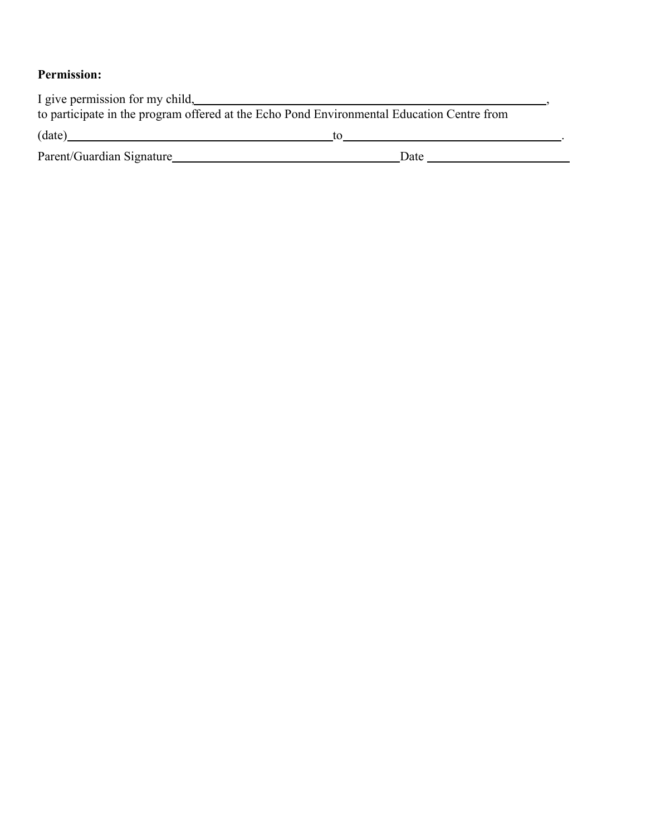### **Permission:**

| I give permission for my child,                                                            |      |  |  |  |
|--------------------------------------------------------------------------------------------|------|--|--|--|
| to participate in the program offered at the Echo Pond Environmental Education Centre from |      |  |  |  |
| (date)                                                                                     | īΩ   |  |  |  |
| Parent/Guardian Signature                                                                  | Date |  |  |  |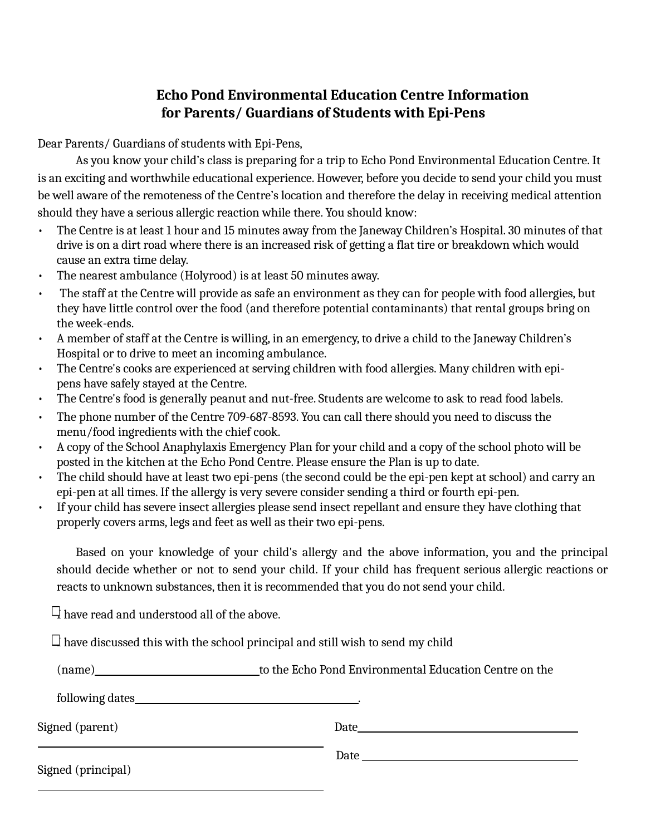### **Echo Pond Environmental Education Centre Information for Parents/ Guardians of Students with Epi-Pens**

Dear Parents/ Guardians of students with Epi-Pens,

As you know your child's class is preparing for a trip to Echo Pond Environmental Education Centre. It is an exciting and worthwhile educational experience. However, before you decide to send your child you must be well aware of the remoteness of the Centre's location and therefore the delay in receiving medical attention should they have a serious allergic reaction while there. You should know:

- The Centre is at least 1 hour and 15 minutes away from the Janeway Children's Hospital. 30 minutes of that drive is on a dirt road where there is an increased risk of getting a flat tire or breakdown which would cause an extra time delay.
- The nearest ambulance (Holyrood) is at least 50 minutes away.
- The staff at the Centre will provide as safe an environment as they can for people with food allergies, but they have little control over the food (and therefore potential contaminants) that rental groups bring on the week-ends.
- A member of staff at the Centre is willing, in an emergency, to drive a child to the Janeway Children's Hospital or to drive to meet an incoming ambulance.
- The Centre's cooks are experienced at serving children with food allergies. Many children with epipens have safely stayed at the Centre.
- The Centre's food is generally peanut and nut-free. Students are welcome to ask to read food labels.
- The phone number of the Centre 709-687-8593. You can call there should you need to discuss the menu/food ingredients with the chief cook.
- A copy of the School Anaphylaxis Emergency Plan for your child and a copy of the school photo will be posted in the kitchen at the Echo Pond Centre. Please ensure the Plan is up to date.
- The child should have at least two epi-pens (the second could be the epi-pen kept at school) and carry an epi-pen at all times. If the allergy is very severe consider sending a third or fourth epi-pen.
- If your child has severe insect allergies please send insect repellant and ensure they have clothing that properly covers arms, legs and feet as well as their two epi-pens.

Based on your knowledge of your child's allergy and the above information, you and the principal should decide whether or not to send your child. If your child has frequent serious allergic reactions or reacts to unknown substances, then it is recommended that you do not send your child.

 $\Box$  have read and understood all of the above.

 $\Box$  have discussed this with the school principal and still wish to send my child

| (name)             | to the Echo Pond Environmental Education Centre on the                                                                                                                                                                         |  |  |
|--------------------|--------------------------------------------------------------------------------------------------------------------------------------------------------------------------------------------------------------------------------|--|--|
|                    |                                                                                                                                                                                                                                |  |  |
| Signed (parent)    | Date and the contract of the contract of the contract of the contract of the contract of the contract of the contract of the contract of the contract of the contract of the contract of the contract of the contract of the c |  |  |
| Signed (principal) | Date and the second contract of the second contract of the second contract of the second contract of the second contract of the second contract of the second contract of the second contract of the second contract of the se |  |  |